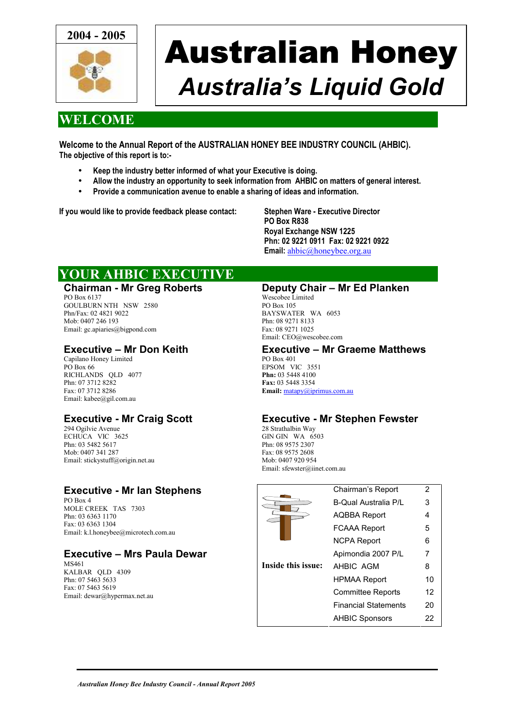

# Australian Honey *Australia's Liquid Gold*

### **WELCOME**

**Welcome to the Annual Report of the AUSTRALIAN HONEY BEE INDUSTRY COUNCIL (AHBIC). The objective of this report is to:-** 

- **Keep the industry better informed of what your Executive is doing.**
- **Allow the industry an opportunity to seek information from AHBIC on matters of general interest.**
- **Provide a communication avenue to enable a sharing of ideas and information.**

**If you would like to provide feedback please contact: Stephen Ware - Executive Director** 

**PO Box R838 Royal Exchange NSW 1225 Phn: 02 9221 0911 Fax: 02 9221 0922 Email:** [ahbic@honeybee.org.au](mailto:ahbic@honeybee.org.au)

### **YOUR AHBIC EXECUTIVE**

#### **Chairman - Mr Greg Roberts**

PO Box 6137 GOULBURN NTH NSW 2580 Phn/Fax: 02 4821 9022 Mob: 0407 246 193 Email: gc.apiaries@bigpond.com

#### **Executive – Mr Don Keith**

Capilano Honey Limited PO Box 66 RICHLANDS QLD 4077 Phn: 07 3712 8282 Fax: 07 3712 8286 Email: kabee@gil.com.au

#### **Executive - Mr Craig Scott**

294 Ogilvie Avenue ECHUCA VIC 3625 Phn: 03 5482 5617 Mob: 0407 341 287 Email: stickystuff@origin.net.au

#### **Executive - Mr Ian Stephens**

PO Box 4 MOLE CREEK TAS 7303 Phn: 03 6363 1170 Fax: 03 6363 1304 Email: k.l.honeybee@microtech.com.au

### **Executive – Mrs Paula Dewar**

MS461 KALBAR QLD 4309 Phn: 07 5463 5633 Fax: 07 5463 5619 Email: dewar@hypermax.net.au

#### **Deputy Chair – Mr Ed Planken**

Wescobee Limited PO Box 105 BAYSWATER WA 6053 Phn: 08 9271 8133 Fax: 08 9271 1025 Email: CEO@wescobee.com

### **Executive – Mr Graeme Matthews**

PO Box 401 EPSOM VIC 3551 **Phn:** 03 5448 4100 **Fax:** 03 5448 3354 **Email:** [matapy@iprimus.com.au](mailto:matapy@iprimus.com.au)

#### **Executive - Mr Stephen Fewster**

28 Strathalbin Way GIN GIN WA 6503 Phn: 08 9575 2307 Fax: 08 9575 2608 Mob: 0407 920 954 Email: sfewster@iinet.com.au

|                    | Chairman's Report           | 2  |
|--------------------|-----------------------------|----|
|                    | <b>B-Qual Australia P/L</b> | 3  |
|                    | AQBBA Report                | 4  |
|                    | <b>FCAAA Report</b>         | 5  |
|                    | <b>NCPA Report</b>          | 6  |
|                    | Apimondia 2007 P/L          | 7  |
| Inside this issue: | AHBIC AGM                   | 8  |
|                    | <b>HPMAA Report</b>         | 10 |
|                    | <b>Committee Reports</b>    | 12 |
|                    | <b>Financial Statements</b> | 20 |
|                    | <b>AHBIC Sponsors</b>       | 22 |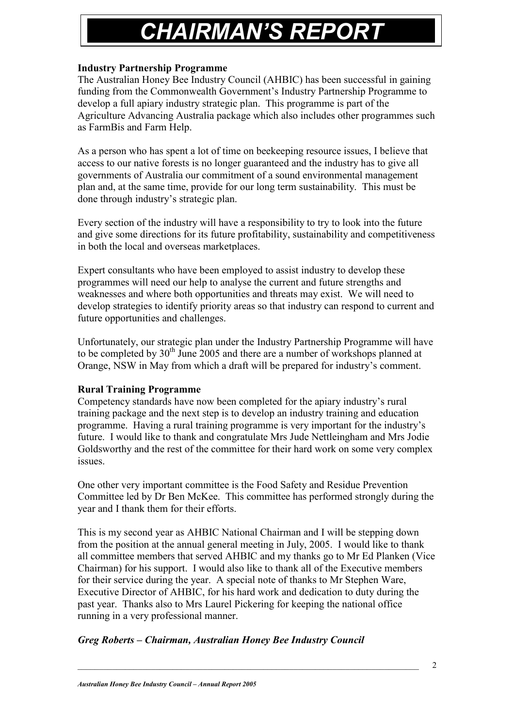## **CHAIRMAN'S REPOR**

#### **Industry Partnership Programme**

The Australian Honey Bee Industry Council (AHBIC) has been successful in gaining funding from the Commonwealth Government's Industry Partnership Programme to develop a full apiary industry strategic plan. This programme is part of the Agriculture Advancing Australia package which also includes other programmes such as FarmBis and Farm Help.

As a person who has spent a lot of time on beekeeping resource issues, I believe that access to our native forests is no longer guaranteed and the industry has to give all governments of Australia our commitment of a sound environmental management plan and, at the same time, provide for our long term sustainability. This must be done through industry's strategic plan.

Every section of the industry will have a responsibility to try to look into the future and give some directions for its future profitability, sustainability and competitiveness in both the local and overseas marketplaces.

Expert consultants who have been employed to assist industry to develop these programmes will need our help to analyse the current and future strengths and weaknesses and where both opportunities and threats may exist. We will need to develop strategies to identify priority areas so that industry can respond to current and future opportunities and challenges.

Unfortunately, our strategic plan under the Industry Partnership Programme will have to be completed by  $30<sup>th</sup>$  June 2005 and there are a number of workshops planned at Orange, NSW in May from which a draft will be prepared for industry's comment.

#### **Rural Training Programme**

Competency standards have now been completed for the apiary industry's rural training package and the next step is to develop an industry training and education programme. Having a rural training programme is very important for the industry's future. I would like to thank and congratulate Mrs Jude Nettleingham and Mrs Jodie Goldsworthy and the rest of the committee for their hard work on some very complex issues.

One other very important committee is the Food Safety and Residue Prevention Committee led by Dr Ben McKee. This committee has performed strongly during the year and I thank them for their efforts.

This is my second year as AHBIC National Chairman and I will be stepping down from the position at the annual general meeting in July, 2005. I would like to thank all committee members that served AHBIC and my thanks go to Mr Ed Planken (Vice Chairman) for his support. I would also like to thank all of the Executive members for their service during the year. A special note of thanks to Mr Stephen Ware, Executive Director of AHBIC, for his hard work and dedication to duty during the past year. Thanks also to Mrs Laurel Pickering for keeping the national office running in a very professional manner.

#### *Greg Roberts – Chairman, Australian Honey Bee Industry Council*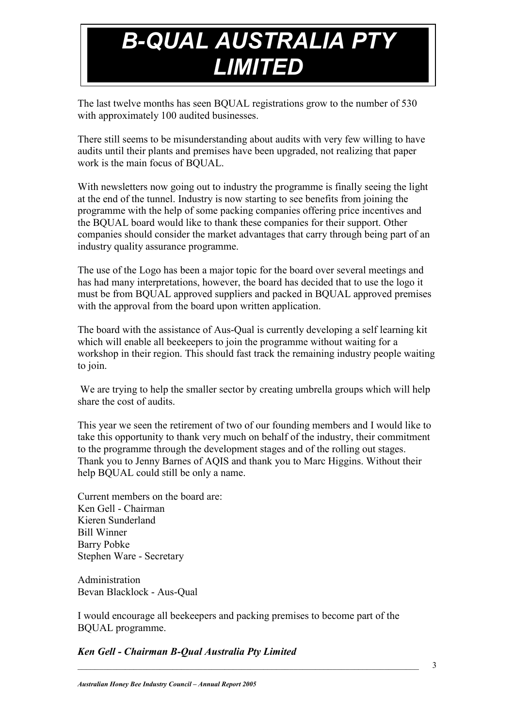# *B-QUAL AUSTRALIA PTY LIMITED*

The last twelve months has seen BQUAL registrations grow to the number of 530 with approximately 100 audited businesses.

There still seems to be misunderstanding about audits with very few willing to have audits until their plants and premises have been upgraded, not realizing that paper work is the main focus of BQUAL.

With newsletters now going out to industry the programme is finally seeing the light at the end of the tunnel. Industry is now starting to see benefits from joining the programme with the help of some packing companies offering price incentives and the BQUAL board would like to thank these companies for their support. Other companies should consider the market advantages that carry through being part of an industry quality assurance programme.

The use of the Logo has been a major topic for the board over several meetings and has had many interpretations, however, the board has decided that to use the logo it must be from BQUAL approved suppliers and packed in BQUAL approved premises with the approval from the board upon written application.

The board with the assistance of Aus-Qual is currently developing a self learning kit which will enable all beekeepers to join the programme without waiting for a workshop in their region. This should fast track the remaining industry people waiting to join.

We are trying to help the smaller sector by creating umbrella groups which will help share the cost of audits.

This year we seen the retirement of two of our founding members and I would like to take this opportunity to thank very much on behalf of the industry, their commitment to the programme through the development stages and of the rolling out stages. Thank you to Jenny Barnes of AQIS and thank you to Marc Higgins. Without their help BQUAL could still be only a name.

Current members on the board are: Ken Gell - Chairman Kieren Sunderland Bill Winner Barry Pobke Stephen Ware - Secretary

Administration Bevan Blacklock - Aus-Qual

I would encourage all beekeepers and packing premises to become part of the BQUAL programme.

#### *Ken Gell - Chairman B-Qual Australia Pty Limited*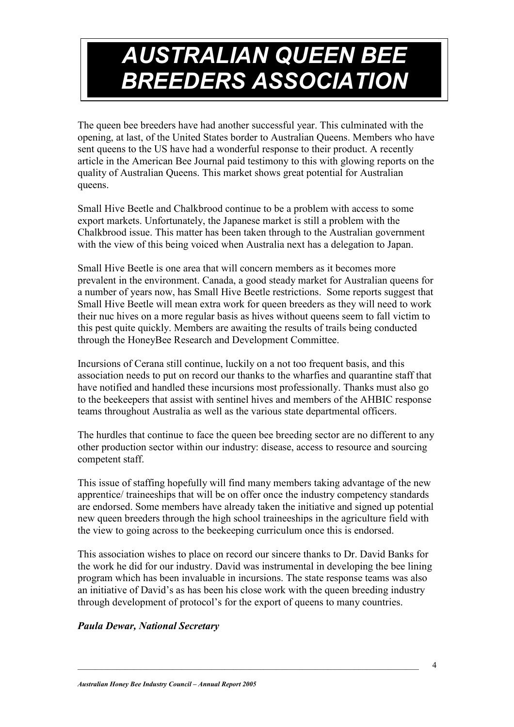## *AUSTRALIAN QUEEN BEE BREEDERS ASSOCIATION*

The queen bee breeders have had another successful year. This culminated with the opening, at last, of the United States border to Australian Queens. Members who have sent queens to the US have had a wonderful response to their product. A recently article in the American Bee Journal paid testimony to this with glowing reports on the quality of Australian Queens. This market shows great potential for Australian queens.

Small Hive Beetle and Chalkbrood continue to be a problem with access to some export markets. Unfortunately, the Japanese market is still a problem with the Chalkbrood issue. This matter has been taken through to the Australian government with the view of this being voiced when Australia next has a delegation to Japan.

Small Hive Beetle is one area that will concern members as it becomes more prevalent in the environment. Canada, a good steady market for Australian queens for a number of years now, has Small Hive Beetle restrictions. Some reports suggest that Small Hive Beetle will mean extra work for queen breeders as they will need to work their nuc hives on a more regular basis as hives without queens seem to fall victim to this pest quite quickly. Members are awaiting the results of trails being conducted through the HoneyBee Research and Development Committee.

Incursions of Cerana still continue, luckily on a not too frequent basis, and this association needs to put on record our thanks to the wharfies and quarantine staff that have notified and handled these incursions most professionally. Thanks must also go to the beekeepers that assist with sentinel hives and members of the AHBIC response teams throughout Australia as well as the various state departmental officers.

The hurdles that continue to face the queen bee breeding sector are no different to any other production sector within our industry: disease, access to resource and sourcing competent staff.

This issue of staffing hopefully will find many members taking advantage of the new apprentice/ traineeships that will be on offer once the industry competency standards are endorsed. Some members have already taken the initiative and signed up potential new queen breeders through the high school traineeships in the agriculture field with the view to going across to the beekeeping curriculum once this is endorsed.

This association wishes to place on record our sincere thanks to Dr. David Banks for the work he did for our industry. David was instrumental in developing the bee lining program which has been invaluable in incursions. The state response teams was also an initiative of David's as has been his close work with the queen breeding industry through development of protocol's for the export of queens to many countries.

#### *Paula Dewar, National Secretary*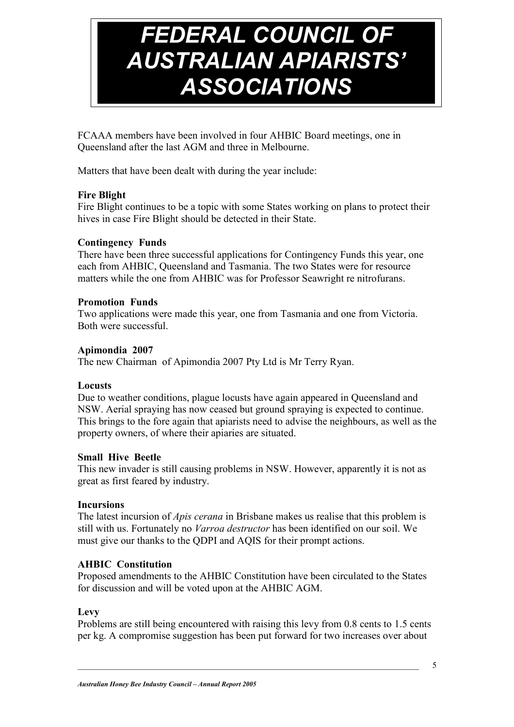# *FEDERAL COUNCIL OF AUSTRALIAN APIARISTS' ASSOCIATIONS*

FCAAA members have been involved in four AHBIC Board meetings, one in Queensland after the last AGM and three in Melbourne.

Matters that have been dealt with during the year include:

#### **Fire Blight**

Fire Blight continues to be a topic with some States working on plans to protect their hives in case Fire Blight should be detected in their State.

#### **Contingency Funds**

There have been three successful applications for Contingency Funds this year, one each from AHBIC, Queensland and Tasmania. The two States were for resource matters while the one from AHBIC was for Professor Seawright re nitrofurans.

#### **Promotion Funds**

Two applications were made this year, one from Tasmania and one from Victoria. Both were successful.

#### **Apimondia 2007**

The new Chairman of Apimondia 2007 Pty Ltd is Mr Terry Ryan.

#### **Locusts**

Due to weather conditions, plague locusts have again appeared in Queensland and NSW. Aerial spraying has now ceased but ground spraying is expected to continue. This brings to the fore again that apiarists need to advise the neighbours, as well as the property owners, of where their apiaries are situated.

#### **Small Hive Beetle**

This new invader is still causing problems in NSW. However, apparently it is not as great as first feared by industry.

#### **Incursions**

The latest incursion of *Apis cerana* in Brisbane makes us realise that this problem is still with us. Fortunately no *Varroa destructor* has been identified on our soil. We must give our thanks to the QDPI and AQIS for their prompt actions.

#### **AHBIC Constitution**

Proposed amendments to the AHBIC Constitution have been circulated to the States for discussion and will be voted upon at the AHBIC AGM.

#### **Levy**

Problems are still being encountered with raising this levy from 0.8 cents to 1.5 cents per kg. A compromise suggestion has been put forward for two increases over about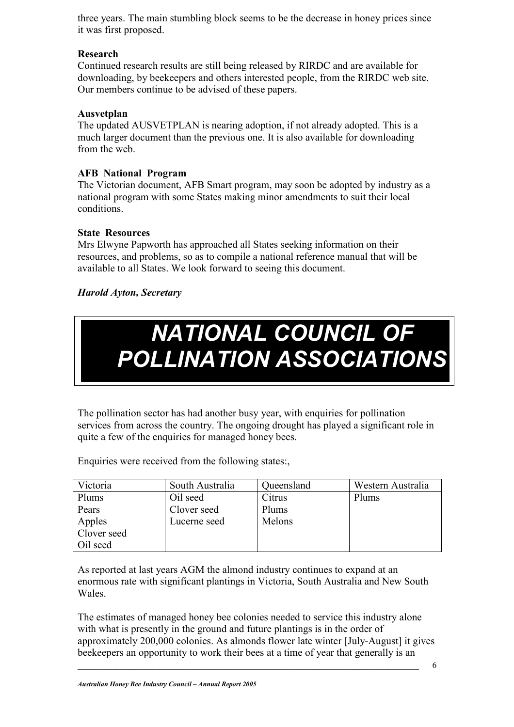three years. The main stumbling block seems to be the decrease in honey prices since it was first proposed.

#### **Research**

Continued research results are still being released by RIRDC and are available for downloading, by beekeepers and others interested people, from the RIRDC web site. Our members continue to be advised of these papers.

#### **Ausvetplan**

The updated AUSVETPLAN is nearing adoption, if not already adopted. This is a much larger document than the previous one. It is also available for downloading from the web.

#### **AFB National Program**

The Victorian document, AFB Smart program, may soon be adopted by industry as a national program with some States making minor amendments to suit their local conditions.

#### **State Resources**

Mrs Elwyne Papworth has approached all States seeking information on their resources, and problems, so as to compile a national reference manual that will be available to all States. We look forward to seeing this document.

#### *Harold Ayton, Secretary*

## *NATIONAL COUNCIL OF POLLINATION ASSOCIATIONS*

The pollination sector has had another busy year, with enquiries for pollination services from across the country. The ongoing drought has played a significant role in quite a few of the enquiries for managed honey bees.

Enquiries were received from the following states:

| Victoria    | South Australia | Queensland | Western Australia |
|-------------|-----------------|------------|-------------------|
| Plums       | Oil seed        | Citrus     | Plums             |
| Pears       | Clover seed     | Plums      |                   |
| Apples      | Lucerne seed    | Melons     |                   |
| Clover seed |                 |            |                   |
| Oil seed    |                 |            |                   |

As reported at last years AGM the almond industry continues to expand at an enormous rate with significant plantings in Victoria, South Australia and New South Wales.

The estimates of managed honey bee colonies needed to service this industry alone with what is presently in the ground and future plantings is in the order of approximately 200,000 colonies. As almonds flower late winter [July-August] it gives beekeepers an opportunity to work their bees at a time of year that generally is an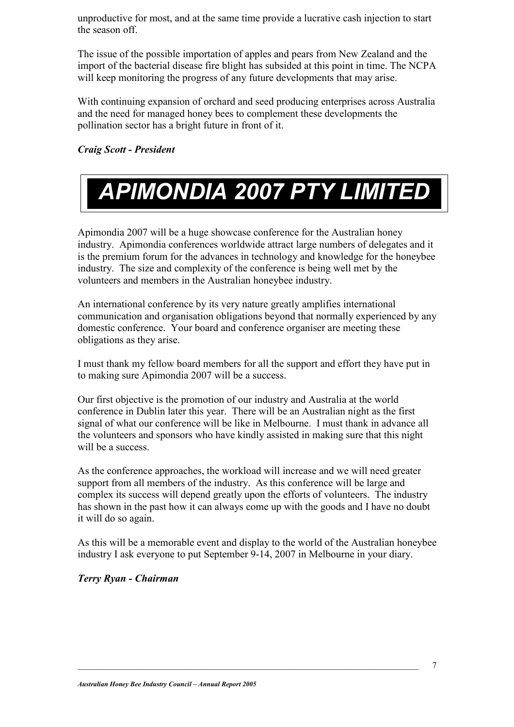unproductive for most, and at the same time provide a lucrative cash injection to start the season off.

The issue of the possible importation of apples and pears from New Zealand and the import of the bacterial disease fire blight has subsided at this point in time. The NCPA will keep monitoring the progress of any future developments that may arise.

With continuing expansion of orchard and seed producing enterprises across Australia and the need for managed honey bees to complement these developments the pollination sector has a bright future in front of it.

*Craig Scott - President*

# *APIMONDIA 2007 PTY LIMITED*

Apimondia 2007 will be a huge showcase conference for the Australian honey industry. Apimondia conferences worldwide attract large numbers of delegates and it is the premium forum for the advances in technology and knowledge for the honeybee industry. The size and complexity of the conference is being well met by the volunteers and members in the Australian honeybee industry.

An international conference by its very nature greatly amplifies international communication and organisation obligations beyond that normally experienced by any domestic conference. Your board and conference organiser are meeting these obligations as they arise.

I must thank my fellow board members for all the support and effort they have put in to making sure Apimondia 2007 will be a success.

Our first objective is the promotion of our industry and Australia at the world conference in Dublin later this year. There will be an Australian night as the first signal of what our conference will be like in Melbourne. I must thank in advance all the volunteers and sponsors who have kindly assisted in making sure that this night will be a success.

As the conference approaches, the workload will increase and we will need greater support from all members of the industry. As this conference will be large and complex its success will depend greatly upon the efforts of volunteers. The industry has shown in the past how it can always come up with the goods and I have no doubt it will do so again.

As this will be a memorable event and display to the world of the Australian honeybee industry I ask everyone to put September 9-14, 2007 in Melbourne in your diary.

*Terry Ryan - Chairman*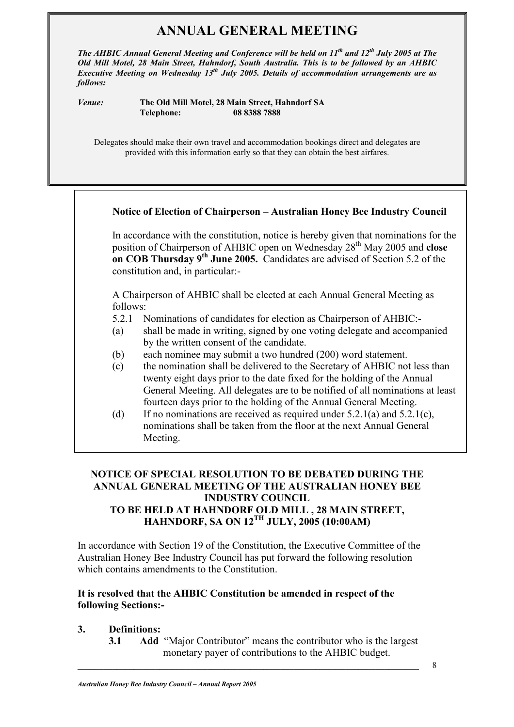### **ANNUAL GENERAL MEETING**

*The AHBIC Annual General Meeting and Conference will be held on 11th and 12th July 2005 at The Old Mill Motel, 28 Main Street, Hahndorf, South Australia. This is to be followed by an AHBIC Executive Meeting on Wednesday 13th July 2005. Details of accommodation arrangements are as follows:* 

*Venue:* **The Old Mill Motel, 28 Main Street, Hahndorf SA Telephone: 08 8388 7888** 

Delegates should make their own travel and accommodation bookings direct and delegates are provided with this information early so that they can obtain the best airfares.

#### **Notice of Election of Chairperson – Australian Honey Bee Industry Council**

In accordance with the constitution, notice is hereby given that nominations for the position of Chairperson of AHBIC open on Wednesday 28th May 2005 and **close on COB Thursday 9th June 2005.** Candidates are advised of Section 5.2 of the constitution and, in particular:-

A Chairperson of AHBIC shall be elected at each Annual General Meeting as follows:

- 5.2.1 Nominations of candidates for election as Chairperson of AHBIC:-
- (a) shall be made in writing, signed by one voting delegate and accompanied by the written consent of the candidate.
- (b) each nominee may submit a two hundred (200) word statement.
- (c) the nomination shall be delivered to the Secretary of AHBIC not less than twenty eight days prior to the date fixed for the holding of the Annual General Meeting. All delegates are to be notified of all nominations at least fourteen days prior to the holding of the Annual General Meeting.
- (d) If no nominations are received as required under  $5.2.1(a)$  and  $5.2.1(c)$ , nominations shall be taken from the floor at the next Annual General Meeting.

#### **NOTICE OF SPECIAL RESOLUTION TO BE DEBATED DURING THE ANNUAL GENERAL MEETING OF THE AUSTRALIAN HONEY BEE INDUSTRY COUNCIL TO BE HELD AT HAHNDORF OLD MILL , 28 MAIN STREET, HAHNDORF, SA ON 12TH JULY, 2005 (10:00AM)**

In accordance with Section 19 of the Constitution, the Executive Committee of the Australian Honey Bee Industry Council has put forward the following resolution which contains amendments to the Constitution.

#### **It is resolved that the AHBIC Constitution be amended in respect of the following Sections:-**

#### **3. Definitions:**

**3.1 Add** "Major Contributor" means the contributor who is the largest monetary payer of contributions to the AHBIC budget.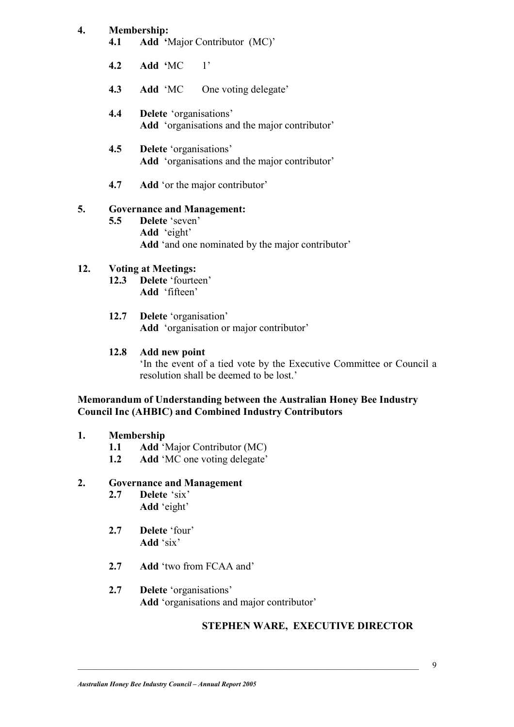#### **4. Membership:**

- **4.1 Add '**Major Contributor (MC)'
- **4.2 Add '**MC 1'
- **4.3 Add** 'MC One voting delegate'
- **4.4 Delete** 'organisations' **Add** 'organisations and the major contributor'
- **4.5 Delete** 'organisations' **Add** 'organisations and the major contributor'
- **4.7 Add** 'or the major contributor'

#### **5. Governance and Management:**

**5.5 Delete** 'seven' **Add** 'eight' **Add** 'and one nominated by the major contributor'

#### **12. Voting at Meetings:**

- **12.3 Delete** 'fourteen' **Add** 'fifteen'
- **12.7 Delete** 'organisation' **Add** 'organisation or major contributor'

#### **12.8 Add new point**

'In the event of a tied vote by the Executive Committee or Council a resolution shall be deemed to be lost.'

#### **Memorandum of Understanding between the Australian Honey Bee Industry Council Inc (AHBIC) and Combined Industry Contributors**

#### **1. Membership**

- **1.1 Add** 'Major Contributor (MC)
- **1.2 Add** 'MC one voting delegate'

#### **2. Governance and Management**

- **2.7 Delete** 'six' **Add** 'eight'
- **2.7 Delete** 'four' **Add** 'six'
- **2.7 Add** 'two from FCAA and'
- **2.7 Delete** 'organisations' **Add** 'organisations and major contributor'

#### **STEPHEN WARE, EXECUTIVE DIRECTOR**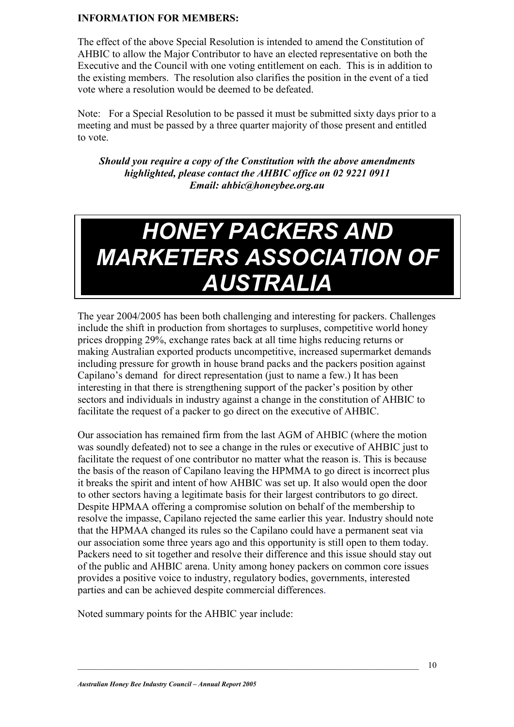#### **INFORMATION FOR MEMBERS:**

The effect of the above Special Resolution is intended to amend the Constitution of AHBIC to allow the Major Contributor to have an elected representative on both the Executive and the Council with one voting entitlement on each. This is in addition to the existing members. The resolution also clarifies the position in the event of a tied vote where a resolution would be deemed to be defeated.

Note: For a Special Resolution to be passed it must be submitted sixty days prior to a meeting and must be passed by a three quarter majority of those present and entitled to vote.

*Should you require a copy of the Constitution with the above amendments highlighted, please contact the AHBIC office on 02 9221 0911 Email: ahbic@honeybee.org.au*

### *HONEY PACKERS AND MARKETERS ASSOCIATION OF AUSTRALIA*

The year 2004/2005 has been both challenging and interesting for packers. Challenges include the shift in production from shortages to surpluses, competitive world honey prices dropping 29%, exchange rates back at all time highs reducing returns or making Australian exported products uncompetitive, increased supermarket demands including pressure for growth in house brand packs and the packers position against Capilano's demand for direct representation (just to name a few.) It has been interesting in that there is strengthening support of the packer's position by other sectors and individuals in industry against a change in the constitution of AHBIC to facilitate the request of a packer to go direct on the executive of AHBIC.

Our association has remained firm from the last AGM of AHBIC (where the motion was soundly defeated) not to see a change in the rules or executive of AHBIC just to facilitate the request of one contributor no matter what the reason is. This is because the basis of the reason of Capilano leaving the HPMMA to go direct is incorrect plus it breaks the spirit and intent of how AHBIC was set up. It also would open the door to other sectors having a legitimate basis for their largest contributors to go direct. Despite HPMAA offering a compromise solution on behalf of the membership to resolve the impasse, Capilano rejected the same earlier this year. Industry should note that the HPMAA changed its rules so the Capilano could have a permanent seat via our association some three years ago and this opportunity is still open to them today. Packers need to sit together and resolve their difference and this issue should stay out of the public and AHBIC arena. Unity among honey packers on common core issues provides a positive voice to industry, regulatory bodies, governments, interested parties and can be achieved despite commercial differences.

Noted summary points for the AHBIC year include: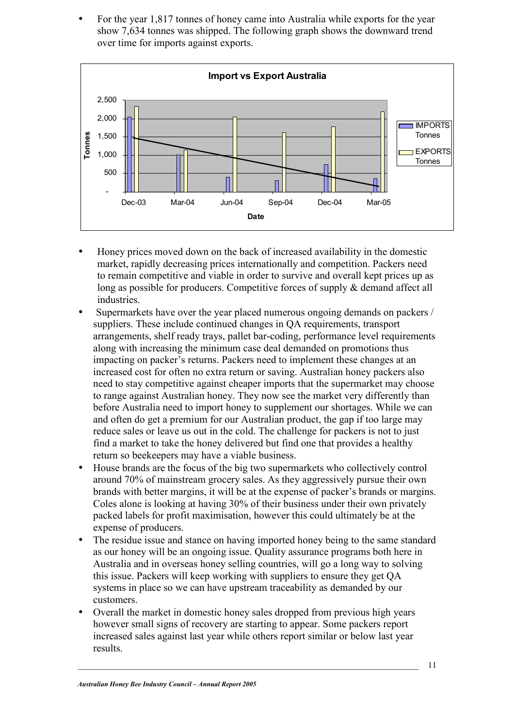• For the year 1,817 tonnes of honey came into Australia while exports for the year show 7,634 tonnes was shipped. The following graph shows the downward trend over time for imports against exports.



- Honey prices moved down on the back of increased availability in the domestic market, rapidly decreasing prices internationally and competition. Packers need to remain competitive and viable in order to survive and overall kept prices up as long as possible for producers. Competitive forces of supply & demand affect all industries.
- Supermarkets have over the year placed numerous ongoing demands on packers / suppliers. These include continued changes in QA requirements, transport arrangements, shelf ready trays, pallet bar-coding, performance level requirements along with increasing the minimum case deal demanded on promotions thus impacting on packer's returns. Packers need to implement these changes at an increased cost for often no extra return or saving. Australian honey packers also need to stay competitive against cheaper imports that the supermarket may choose to range against Australian honey. They now see the market very differently than before Australia need to import honey to supplement our shortages. While we can and often do get a premium for our Australian product, the gap if too large may reduce sales or leave us out in the cold. The challenge for packers is not to just find a market to take the honey delivered but find one that provides a healthy return so beekeepers may have a viable business.
- House brands are the focus of the big two supermarkets who collectively control around 70% of mainstream grocery sales. As they aggressively pursue their own brands with better margins, it will be at the expense of packer's brands or margins. Coles alone is looking at having 30% of their business under their own privately packed labels for profit maximisation, however this could ultimately be at the expense of producers.
- The residue issue and stance on having imported honey being to the same standard as our honey will be an ongoing issue. Quality assurance programs both here in Australia and in overseas honey selling countries, will go a long way to solving this issue. Packers will keep working with suppliers to ensure they get QA systems in place so we can have upstream traceability as demanded by our customers.
- Overall the market in domestic honey sales dropped from previous high years however small signs of recovery are starting to appear. Some packers report increased sales against last year while others report similar or below last year results.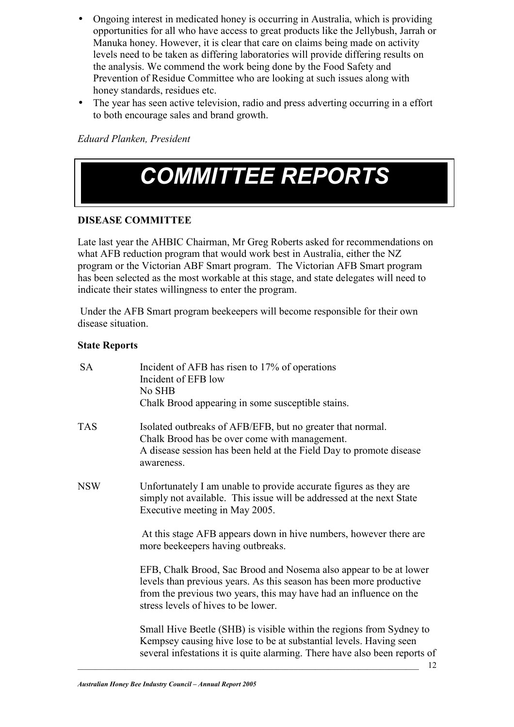- Ongoing interest in medicated honey is occurring in Australia, which is providing opportunities for all who have access to great products like the Jellybush, Jarrah or Manuka honey. However, it is clear that care on claims being made on activity levels need to be taken as differing laboratories will provide differing results on the analysis. We commend the work being done by the Food Safety and Prevention of Residue Committee who are looking at such issues along with honey standards, residues etc.
- The year has seen active television, radio and press adverting occurring in a effort to both encourage sales and brand growth.

*Eduard Planken, President* 

## *COMMITTEE REPORTS*

#### **DISEASE COMMITTEE**

Late last year the AHBIC Chairman, Mr Greg Roberts asked for recommendations on what AFB reduction program that would work best in Australia, either the NZ program or the Victorian ABF Smart program. The Victorian AFB Smart program has been selected as the most workable at this stage, and state delegates will need to indicate their states willingness to enter the program.

Under the AFB Smart program beekeepers will become responsible for their own disease situation.

#### **State Reports**

| <b>SA</b>  | Incident of AFB has risen to 17% of operations<br>Incident of EFB low<br>No SHB<br>Chalk Brood appearing in some susceptible stains.                                                                                                                  |
|------------|-------------------------------------------------------------------------------------------------------------------------------------------------------------------------------------------------------------------------------------------------------|
| <b>TAS</b> | Isolated outbreaks of AFB/EFB, but no greater that normal.<br>Chalk Brood has be over come with management.<br>A disease session has been held at the Field Day to promote disease<br>awareness.                                                      |
| <b>NSW</b> | Unfortunately I am unable to provide accurate figures as they are<br>simply not available. This issue will be addressed at the next State<br>Executive meeting in May 2005.                                                                           |
|            | At this stage AFB appears down in hive numbers, however there are<br>more beekeepers having outbreaks.                                                                                                                                                |
|            | EFB, Chalk Brood, Sac Brood and Nosema also appear to be at lower<br>levels than previous years. As this season has been more productive<br>from the previous two years, this may have had an influence on the<br>stress levels of hives to be lower. |
|            | Small Hive Beetle (SHB) is visible within the regions from Sydney to<br>Kempsey causing hive lose to be at substantial levels. Having seen<br>several infestations it is quite alarming. There have also been reports of                              |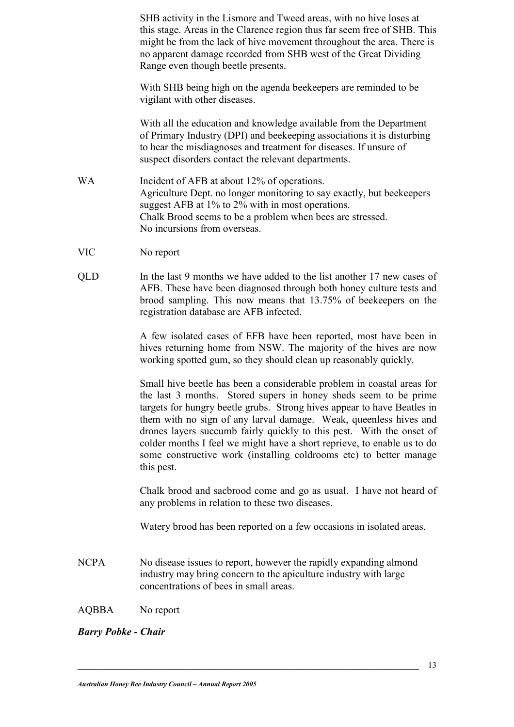SHB activity in the Lismore and Tweed areas, with no hive loses at this stage. Areas in the Clarence region thus far seem free of SHB. This might be from the lack of hive movement throughout the area. There is no apparent damage recorded from SHB west of the Great Dividing Range even though beetle presents.

With SHB being high on the agenda beekeepers are reminded to be vigilant with other diseases.

With all the education and knowledge available from the Department of Primary Industry (DPI) and beekeeping associations it is disturbing to hear the misdiagnoses and treatment for diseases. If unsure of suspect disorders contact the relevant departments.

- WA Incident of AFB at about 12% of operations. Agriculture Dept. no longer monitoring to say exactly, but beekeepers suggest AFB at 1% to 2% with in most operations. Chalk Brood seems to be a problem when bees are stressed. No incursions from overseas.
- VIC No report
- QLD In the last 9 months we have added to the list another 17 new cases of AFB. These have been diagnosed through both honey culture tests and brood sampling. This now means that 13.75% of beekeepers on the registration database are AFB infected.

A few isolated cases of EFB have been reported, most have been in hives returning home from NSW. The majority of the hives are now working spotted gum, so they should clean up reasonably quickly.

Small hive beetle has been a considerable problem in coastal areas for the last 3 months. Stored supers in honey sheds seem to be prime targets for hungry beetle grubs. Strong hives appear to have Beatles in them with no sign of any larval damage. Weak, queenless hives and drones layers succumb fairly quickly to this pest. With the onset of colder months I feel we might have a short reprieve, to enable us to do some constructive work (installing coldrooms etc) to better manage this pest.

Chalk brood and sacbrood come and go as usual. I have not heard of any problems in relation to these two diseases.

Watery brood has been reported on a few occasions in isolated areas.

NCPA No disease issues to report, however the rapidly expanding almond industry may bring concern to the apiculture industry with large concentrations of bees in small areas.

#### AQBBA No report

*Barry Pobke - Chair*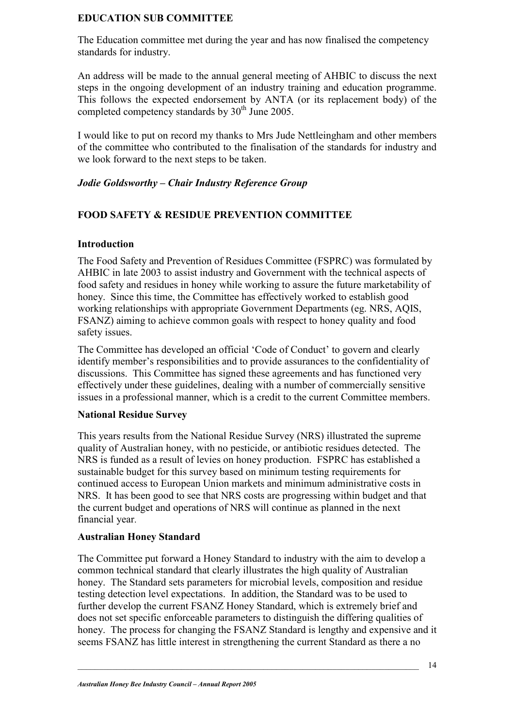#### **EDUCATION SUB COMMITTEE**

The Education committee met during the year and has now finalised the competency standards for industry.

An address will be made to the annual general meeting of AHBIC to discuss the next steps in the ongoing development of an industry training and education programme. This follows the expected endorsement by ANTA (or its replacement body) of the completed competency standards by  $30<sup>th</sup>$  June 2005.

I would like to put on record my thanks to Mrs Jude Nettleingham and other members of the committee who contributed to the finalisation of the standards for industry and we look forward to the next steps to be taken.

#### *Jodie Goldsworthy – Chair Industry Reference Group*

#### **FOOD SAFETY & RESIDUE PREVENTION COMMITTEE**

#### **Introduction**

The Food Safety and Prevention of Residues Committee (FSPRC) was formulated by AHBIC in late 2003 to assist industry and Government with the technical aspects of food safety and residues in honey while working to assure the future marketability of honey. Since this time, the Committee has effectively worked to establish good working relationships with appropriate Government Departments (eg. NRS, AQIS, FSANZ) aiming to achieve common goals with respect to honey quality and food safety issues.

The Committee has developed an official 'Code of Conduct' to govern and clearly identify member's responsibilities and to provide assurances to the confidentiality of discussions. This Committee has signed these agreements and has functioned very effectively under these guidelines, dealing with a number of commercially sensitive issues in a professional manner, which is a credit to the current Committee members.

#### **National Residue Survey**

This years results from the National Residue Survey (NRS) illustrated the supreme quality of Australian honey, with no pesticide, or antibiotic residues detected. The NRS is funded as a result of levies on honey production. FSPRC has established a sustainable budget for this survey based on minimum testing requirements for continued access to European Union markets and minimum administrative costs in NRS. It has been good to see that NRS costs are progressing within budget and that the current budget and operations of NRS will continue as planned in the next financial year.

#### **Australian Honey Standard**

The Committee put forward a Honey Standard to industry with the aim to develop a common technical standard that clearly illustrates the high quality of Australian honey. The Standard sets parameters for microbial levels, composition and residue testing detection level expectations. In addition, the Standard was to be used to further develop the current FSANZ Honey Standard, which is extremely brief and does not set specific enforceable parameters to distinguish the differing qualities of honey. The process for changing the FSANZ Standard is lengthy and expensive and it seems FSANZ has little interest in strengthening the current Standard as there a no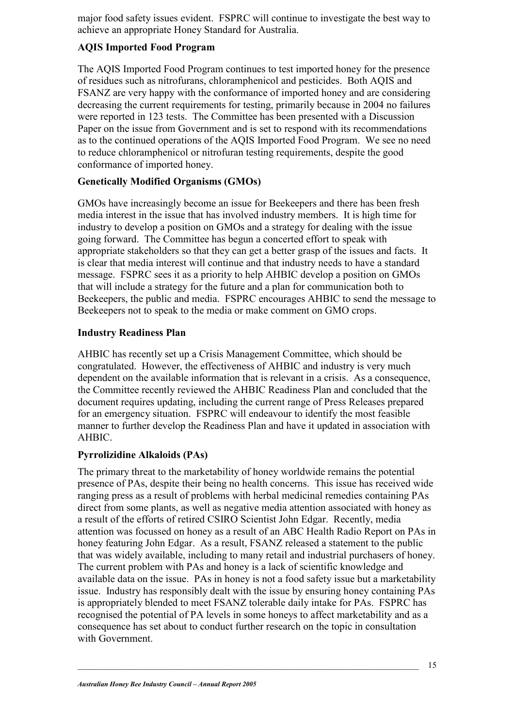major food safety issues evident. FSPRC will continue to investigate the best way to achieve an appropriate Honey Standard for Australia.

#### **AQIS Imported Food Program**

The AQIS Imported Food Program continues to test imported honey for the presence of residues such as nitrofurans, chloramphenicol and pesticides. Both AQIS and FSANZ are very happy with the conformance of imported honey and are considering decreasing the current requirements for testing, primarily because in 2004 no failures were reported in 123 tests. The Committee has been presented with a Discussion Paper on the issue from Government and is set to respond with its recommendations as to the continued operations of the AQIS Imported Food Program. We see no need to reduce chloramphenicol or nitrofuran testing requirements, despite the good conformance of imported honey.

#### **Genetically Modified Organisms (GMOs)**

GMOs have increasingly become an issue for Beekeepers and there has been fresh media interest in the issue that has involved industry members. It is high time for industry to develop a position on GMOs and a strategy for dealing with the issue going forward. The Committee has begun a concerted effort to speak with appropriate stakeholders so that they can get a better grasp of the issues and facts. It is clear that media interest will continue and that industry needs to have a standard message. FSPRC sees it as a priority to help AHBIC develop a position on GMOs that will include a strategy for the future and a plan for communication both to Beekeepers, the public and media. FSPRC encourages AHBIC to send the message to Beekeepers not to speak to the media or make comment on GMO crops.

#### **Industry Readiness Plan**

AHBIC has recently set up a Crisis Management Committee, which should be congratulated. However, the effectiveness of AHBIC and industry is very much dependent on the available information that is relevant in a crisis. As a consequence, the Committee recently reviewed the AHBIC Readiness Plan and concluded that the document requires updating, including the current range of Press Releases prepared for an emergency situation. FSPRC will endeavour to identify the most feasible manner to further develop the Readiness Plan and have it updated in association with AHBIC.

#### **Pyrrolizidine Alkaloids (PAs)**

The primary threat to the marketability of honey worldwide remains the potential presence of PAs, despite their being no health concerns. This issue has received wide ranging press as a result of problems with herbal medicinal remedies containing PAs direct from some plants, as well as negative media attention associated with honey as a result of the efforts of retired CSIRO Scientist John Edgar. Recently, media attention was focussed on honey as a result of an ABC Health Radio Report on PAs in honey featuring John Edgar. As a result, FSANZ released a statement to the public that was widely available, including to many retail and industrial purchasers of honey. The current problem with PAs and honey is a lack of scientific knowledge and available data on the issue. PAs in honey is not a food safety issue but a marketability issue. Industry has responsibly dealt with the issue by ensuring honey containing PAs is appropriately blended to meet FSANZ tolerable daily intake for PAs. FSPRC has recognised the potential of PA levels in some honeys to affect marketability and as a consequence has set about to conduct further research on the topic in consultation with Government.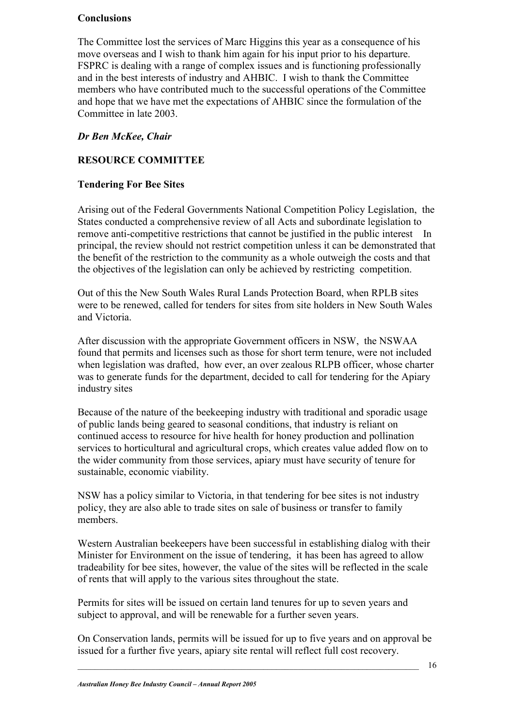#### **Conclusions**

The Committee lost the services of Marc Higgins this year as a consequence of his move overseas and I wish to thank him again for his input prior to his departure. FSPRC is dealing with a range of complex issues and is functioning professionally and in the best interests of industry and AHBIC. I wish to thank the Committee members who have contributed much to the successful operations of the Committee and hope that we have met the expectations of AHBIC since the formulation of the Committee in late 2003.

#### *Dr Ben McKee, Chair*

#### **RESOURCE COMMITTEE**

#### **Tendering For Bee Sites**

Arising out of the Federal Governments National Competition Policy Legislation, the States conducted a comprehensive review of all Acts and subordinate legislation to remove anti-competitive restrictions that cannot be justified in the public interest In principal, the review should not restrict competition unless it can be demonstrated that the benefit of the restriction to the community as a whole outweigh the costs and that the objectives of the legislation can only be achieved by restricting competition.

Out of this the New South Wales Rural Lands Protection Board, when RPLB sites were to be renewed, called for tenders for sites from site holders in New South Wales and Victoria.

After discussion with the appropriate Government officers in NSW, the NSWAA found that permits and licenses such as those for short term tenure, were not included when legislation was drafted, how ever, an over zealous RLPB officer, whose charter was to generate funds for the department, decided to call for tendering for the Apiary industry sites

Because of the nature of the beekeeping industry with traditional and sporadic usage of public lands being geared to seasonal conditions, that industry is reliant on continued access to resource for hive health for honey production and pollination services to horticultural and agricultural crops, which creates value added flow on to the wider community from those services, apiary must have security of tenure for sustainable, economic viability.

NSW has a policy similar to Victoria, in that tendering for bee sites is not industry policy, they are also able to trade sites on sale of business or transfer to family members.

Western Australian beekeepers have been successful in establishing dialog with their Minister for Environment on the issue of tendering, it has been has agreed to allow tradeability for bee sites, however, the value of the sites will be reflected in the scale of rents that will apply to the various sites throughout the state.

Permits for sites will be issued on certain land tenures for up to seven years and subject to approval, and will be renewable for a further seven years.

On Conservation lands, permits will be issued for up to five years and on approval be issued for a further five years, apiary site rental will reflect full cost recovery.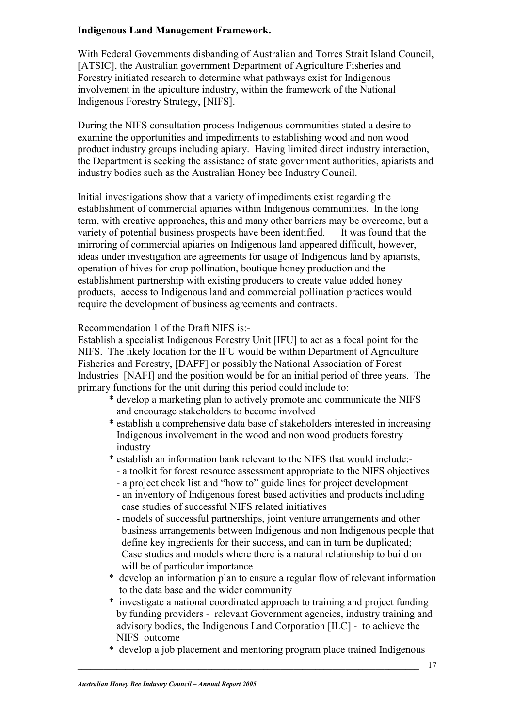#### **Indigenous Land Management Framework.**

With Federal Governments disbanding of Australian and Torres Strait Island Council, [ATSIC], the Australian government Department of Agriculture Fisheries and Forestry initiated research to determine what pathways exist for Indigenous involvement in the apiculture industry, within the framework of the National Indigenous Forestry Strategy, [NIFS].

During the NIFS consultation process Indigenous communities stated a desire to examine the opportunities and impediments to establishing wood and non wood product industry groups including apiary. Having limited direct industry interaction, the Department is seeking the assistance of state government authorities, apiarists and industry bodies such as the Australian Honey bee Industry Council.

Initial investigations show that a variety of impediments exist regarding the establishment of commercial apiaries within Indigenous communities. In the long term, with creative approaches, this and many other barriers may be overcome, but a variety of potential business prospects have been identified. It was found that the mirroring of commercial apiaries on Indigenous land appeared difficult, however, ideas under investigation are agreements for usage of Indigenous land by apiarists, operation of hives for crop pollination, boutique honey production and the establishment partnership with existing producers to create value added honey products, access to Indigenous land and commercial pollination practices would require the development of business agreements and contracts.

Recommendation 1 of the Draft NIFS is:-

Establish a specialist Indigenous Forestry Unit [IFU] to act as a focal point for the NIFS. The likely location for the IFU would be within Department of Agriculture Fisheries and Forestry, [DAFF] or possibly the National Association of Forest Industries [NAFI] and the position would be for an initial period of three years. The primary functions for the unit during this period could include to:

- \* develop a marketing plan to actively promote and communicate the NIFS and encourage stakeholders to become involved
- \* establish a comprehensive data base of stakeholders interested in increasing Indigenous involvement in the wood and non wood products forestry industry
- \* establish an information bank relevant to the NIFS that would include:-
	- a toolkit for forest resource assessment appropriate to the NIFS objectives
	- a project check list and "how to" guide lines for project development
	- an inventory of Indigenous forest based activities and products including case studies of successful NIFS related initiatives
	- models of successful partnerships, joint venture arrangements and other business arrangements between Indigenous and non Indigenous people that define key ingredients for their success, and can in turn be duplicated; Case studies and models where there is a natural relationship to build on will be of particular importance
- \* develop an information plan to ensure a regular flow of relevant information to the data base and the wider community
- \* investigate a national coordinated approach to training and project funding by funding providers - relevant Government agencies, industry training and advisory bodies, the Indigenous Land Corporation [ILC] - to achieve the NIFS outcome
- \* develop a job placement and mentoring program place trained Indigenous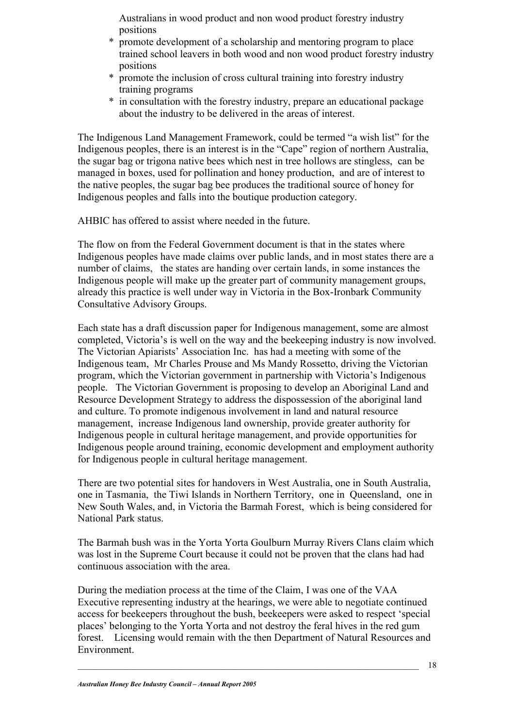Australians in wood product and non wood product forestry industry positions

- \* promote development of a scholarship and mentoring program to place trained school leavers in both wood and non wood product forestry industry positions
- \* promote the inclusion of cross cultural training into forestry industry training programs
- \* in consultation with the forestry industry, prepare an educational package about the industry to be delivered in the areas of interest.

The Indigenous Land Management Framework, could be termed "a wish list" for the Indigenous peoples, there is an interest is in the "Cape" region of northern Australia, the sugar bag or trigona native bees which nest in tree hollows are stingless, can be managed in boxes, used for pollination and honey production, and are of interest to the native peoples, the sugar bag bee produces the traditional source of honey for Indigenous peoples and falls into the boutique production category.

AHBIC has offered to assist where needed in the future.

The flow on from the Federal Government document is that in the states where Indigenous peoples have made claims over public lands, and in most states there are a number of claims, the states are handing over certain lands, in some instances the Indigenous people will make up the greater part of community management groups, already this practice is well under way in Victoria in the Box-Ironbark Community Consultative Advisory Groups.

Each state has a draft discussion paper for Indigenous management, some are almost completed, Victoria's is well on the way and the beekeeping industry is now involved. The Victorian Apiarists' Association Inc. has had a meeting with some of the Indigenous team, Mr Charles Prouse and Ms Mandy Rossetto, driving the Victorian program, which the Victorian government in partnership with Victoria's Indigenous people. The Victorian Government is proposing to develop an Aboriginal Land and Resource Development Strategy to address the dispossession of the aboriginal land and culture. To promote indigenous involvement in land and natural resource management, increase Indigenous land ownership, provide greater authority for Indigenous people in cultural heritage management, and provide opportunities for Indigenous people around training, economic development and employment authority for Indigenous people in cultural heritage management.

There are two potential sites for handovers in West Australia, one in South Australia, one in Tasmania, the Tiwi Islands in Northern Territory, one in Queensland, one in New South Wales, and, in Victoria the Barmah Forest, which is being considered for National Park status.

The Barmah bush was in the Yorta Yorta Goulburn Murray Rivers Clans claim which was lost in the Supreme Court because it could not be proven that the clans had had continuous association with the area.

During the mediation process at the time of the Claim, I was one of the VAA Executive representing industry at the hearings, we were able to negotiate continued access for beekeepers throughout the bush, beekeepers were asked to respect 'special places' belonging to the Yorta Yorta and not destroy the feral hives in the red gum forest. Licensing would remain with the then Department of Natural Resources and Environment.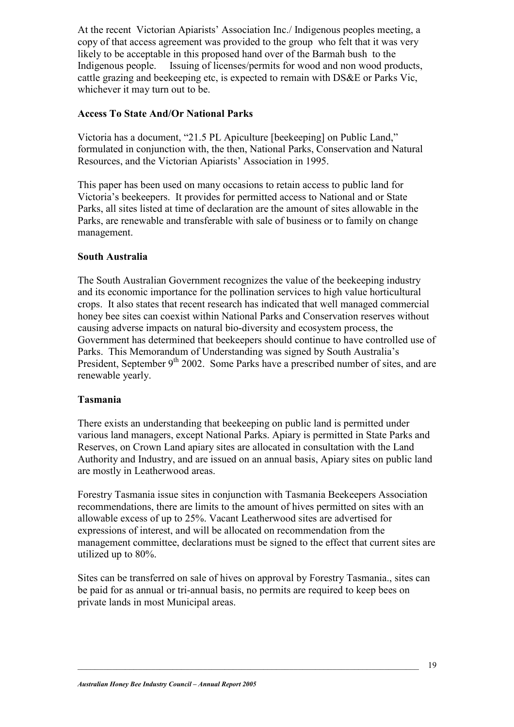At the recent Victorian Apiarists' Association Inc./ Indigenous peoples meeting, a copy of that access agreement was provided to the group who felt that it was very likely to be acceptable in this proposed hand over of the Barmah bush to the Indigenous people. Issuing of licenses/permits for wood and non wood products, cattle grazing and beekeeping etc, is expected to remain with DS&E or Parks Vic, whichever it may turn out to be.

#### **Access To State And/Or National Parks**

Victoria has a document, "21.5 PL Apiculture [beekeeping] on Public Land," formulated in conjunction with, the then, National Parks, Conservation and Natural Resources, and the Victorian Apiarists' Association in 1995.

This paper has been used on many occasions to retain access to public land for Victoria's beekeepers. It provides for permitted access to National and or State Parks, all sites listed at time of declaration are the amount of sites allowable in the Parks, are renewable and transferable with sale of business or to family on change management.

#### **South Australia**

The South Australian Government recognizes the value of the beekeeping industry and its economic importance for the pollination services to high value horticultural crops. It also states that recent research has indicated that well managed commercial honey bee sites can coexist within National Parks and Conservation reserves without causing adverse impacts on natural bio-diversity and ecosystem process, the Government has determined that beekeepers should continue to have controlled use of Parks. This Memorandum of Understanding was signed by South Australia's President, September  $9<sup>th</sup> 2002$ . Some Parks have a prescribed number of sites, and are renewable yearly.

#### **Tasmania**

There exists an understanding that beekeeping on public land is permitted under various land managers, except National Parks. Apiary is permitted in State Parks and Reserves, on Crown Land apiary sites are allocated in consultation with the Land Authority and Industry, and are issued on an annual basis, Apiary sites on public land are mostly in Leatherwood areas.

Forestry Tasmania issue sites in conjunction with Tasmania Beekeepers Association recommendations, there are limits to the amount of hives permitted on sites with an allowable excess of up to 25%. Vacant Leatherwood sites are advertised for expressions of interest, and will be allocated on recommendation from the management committee, declarations must be signed to the effect that current sites are utilized up to 80%.

Sites can be transferred on sale of hives on approval by Forestry Tasmania., sites can be paid for as annual or tri-annual basis, no permits are required to keep bees on private lands in most Municipal areas.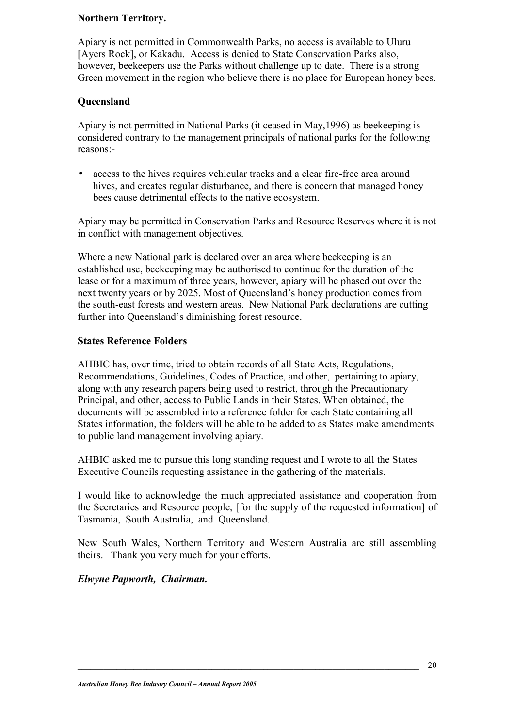#### **Northern Territory.**

Apiary is not permitted in Commonwealth Parks, no access is available to Uluru [Ayers Rock], or Kakadu. Access is denied to State Conservation Parks also, however, beekeepers use the Parks without challenge up to date. There is a strong Green movement in the region who believe there is no place for European honey bees.

#### **Queensland**

Apiary is not permitted in National Parks (it ceased in May,1996) as beekeeping is considered contrary to the management principals of national parks for the following reasons:-

access to the hives requires vehicular tracks and a clear fire-free area around hives, and creates regular disturbance, and there is concern that managed honey bees cause detrimental effects to the native ecosystem.

Apiary may be permitted in Conservation Parks and Resource Reserves where it is not in conflict with management objectives.

Where a new National park is declared over an area where beekeeping is an established use, beekeeping may be authorised to continue for the duration of the lease or for a maximum of three years, however, apiary will be phased out over the next twenty years or by 2025. Most of Queensland's honey production comes from the south-east forests and western areas. New National Park declarations are cutting further into Queensland's diminishing forest resource.

#### **States Reference Folders**

AHBIC has, over time, tried to obtain records of all State Acts, Regulations, Recommendations, Guidelines, Codes of Practice, and other, pertaining to apiary, along with any research papers being used to restrict, through the Precautionary Principal, and other, access to Public Lands in their States. When obtained, the documents will be assembled into a reference folder for each State containing all States information, the folders will be able to be added to as States make amendments to public land management involving apiary.

AHBIC asked me to pursue this long standing request and I wrote to all the States Executive Councils requesting assistance in the gathering of the materials.

I would like to acknowledge the much appreciated assistance and cooperation from the Secretaries and Resource people, [for the supply of the requested information] of Tasmania, South Australia, and Queensland.

New South Wales, Northern Territory and Western Australia are still assembling theirs. Thank you very much for your efforts.

#### *Elwyne Papworth, Chairman.*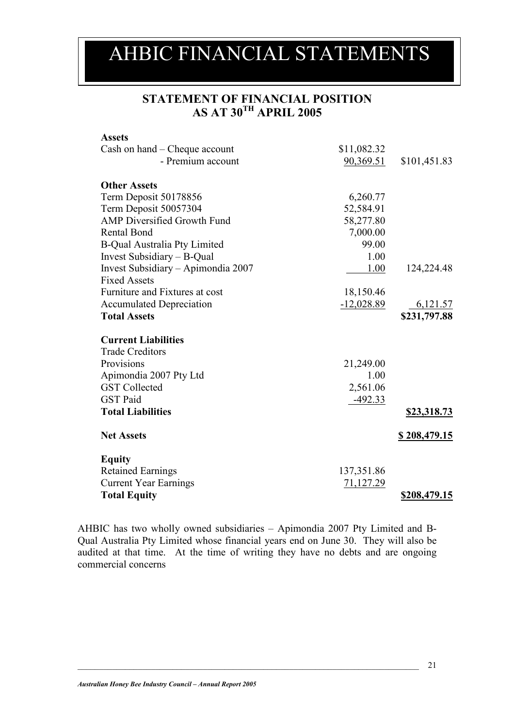### AHBIC FINANCIAL STATEMENTS

#### **STATEMENT OF FINANCIAL POSITION AS AT 30TH APRIL 2005**

| \$11,082.32  |                         |
|--------------|-------------------------|
| 90,369.51    | \$101,451.83            |
|              |                         |
| 6,260.77     |                         |
| 52,584.91    |                         |
| 58,277.80    |                         |
| 7,000.00     |                         |
| 99.00        |                         |
| 1.00         |                         |
| 1.00         | 124,224.48              |
|              |                         |
| 18,150.46    |                         |
| $-12,028.89$ | 6,121.57                |
|              | \$231,797.88            |
|              |                         |
|              |                         |
| 21,249.00    |                         |
| 1.00         |                         |
| 2,561.06     |                         |
| $-492.33$    |                         |
|              | \$23,318.73             |
|              | <u>\$208,479.15</u>     |
|              |                         |
|              |                         |
|              |                         |
|              | \$208,479.15            |
|              | 137,351.86<br>71,127.29 |

AHBIC has two wholly owned subsidiaries – Apimondia 2007 Pty Limited and B-Qual Australia Pty Limited whose financial years end on June 30. They will also be audited at that time. At the time of writing they have no debts and are ongoing commercial concerns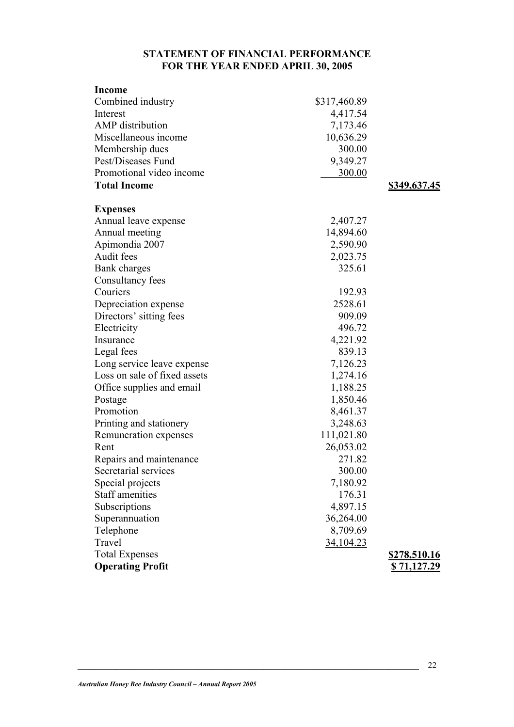#### **STATEMENT OF FINANCIAL PERFORMANCE FOR THE YEAR ENDED APRIL 30, 2005**

| <b>Income</b>                |              |                     |
|------------------------------|--------------|---------------------|
| Combined industry            | \$317,460.89 |                     |
| Interest                     | 4,417.54     |                     |
| <b>AMP</b> distribution      | 7,173.46     |                     |
| Miscellaneous income         | 10,636.29    |                     |
| Membership dues              | 300.00       |                     |
| Pest/Diseases Fund           | 9,349.27     |                     |
| Promotional video income     | 300.00       |                     |
| <b>Total Income</b>          |              | <u>\$349,637.45</u> |
| <b>Expenses</b>              |              |                     |
| Annual leave expense         | 2,407.27     |                     |
| Annual meeting               | 14,894.60    |                     |
| Apimondia 2007               | 2,590.90     |                     |
| Audit fees                   | 2,023.75     |                     |
| Bank charges                 | 325.61       |                     |
| Consultancy fees             |              |                     |
| Couriers                     | 192.93       |                     |
| Depreciation expense         | 2528.61      |                     |
| Directors' sitting fees      | 909.09       |                     |
| Electricity                  | 496.72       |                     |
| Insurance                    | 4,221.92     |                     |
| Legal fees                   | 839.13       |                     |
| Long service leave expense   | 7,126.23     |                     |
| Loss on sale of fixed assets | 1,274.16     |                     |
| Office supplies and email    | 1,188.25     |                     |
| Postage                      | 1,850.46     |                     |
| Promotion                    | 8,461.37     |                     |
| Printing and stationery      | 3,248.63     |                     |
| Remuneration expenses        | 111,021.80   |                     |
| Rent                         | 26,053.02    |                     |
| Repairs and maintenance      | 271.82       |                     |
| Secretarial services         | 300.00       |                     |
| Special projects             | 7,180.92     |                     |
| <b>Staff amenities</b>       | 176.31       |                     |
| Subscriptions                | 4,897.15     |                     |
| Superannuation               | 36,264.00    |                     |
| Telephone                    | 8,709.69     |                     |
| Travel                       | 34,104.23    |                     |
| <b>Total Expenses</b>        |              | \$278,510.16        |
| <b>Operating Profit</b>      |              | \$71,127.29         |